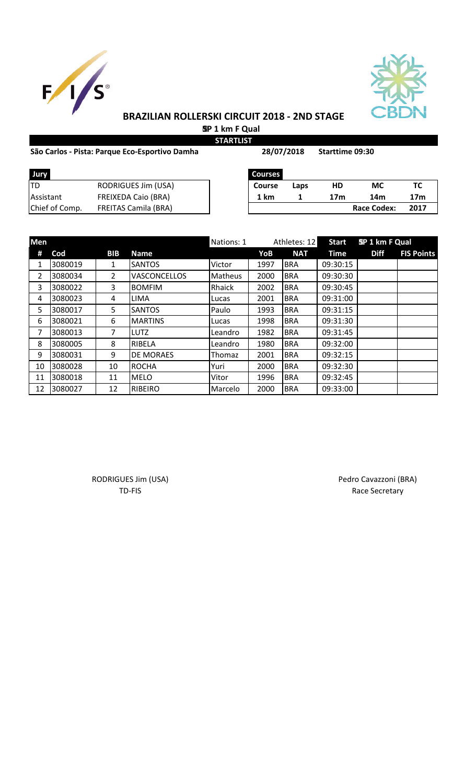



# **BRAZILIAN ROLLERSKI CIRCUIT 2018 - 2ND STAGE SP 1 km F Qual**

**STARTLIST**

#### São Carlos - Pista: Parque Eco-Esportivo Damha **Sanda 28/07/2018** Starttime 09:30

**28/07/2018**

| Jury           |                            |  |        | <b>Courses</b> |     |                    |     |  |  |
|----------------|----------------------------|--|--------|----------------|-----|--------------------|-----|--|--|
| TD             | <b>RODRIGUES Jim (USA)</b> |  | Course | Laps           | НD  | МC                 | ТС  |  |  |
| Assistant      | <b>FREIXEDA Caio (BRA)</b> |  | 1 km   |                | 17m | 14m                | 17r |  |  |
| Chief of Comp. | FREITAS Camila (BRA)       |  |        |                |     | <b>Race Codex:</b> | 201 |  |  |

| Jury           |                             | <b>Courses</b> |      |     |                    |      |
|----------------|-----------------------------|----------------|------|-----|--------------------|------|
| TD             | RODRIGUES Jim (USA)         | <b>Course</b>  | Laps | НD  | МC                 |      |
| Assistant      | <b>FREIXEDA Caio (BRA)</b>  | 1 km           |      | 17m | 14m                | 17m  |
| Chief of Comp. | <b>FREITAS Camila (BRA)</b> |                |      |     | <b>Race Codex:</b> | 2017 |

| Men |         |            |                     | Nations: 1 | Athletes: 12 |            | <b>Start</b> | SP 1 km F Qual |                   |
|-----|---------|------------|---------------------|------------|--------------|------------|--------------|----------------|-------------------|
| #   | Cod     | <b>BIB</b> | <b>Name</b>         |            | YoB          | <b>NAT</b> | Time         | <b>Diff</b>    | <b>FIS Points</b> |
| 1   | 3080019 | 1          | <b>SANTOS</b>       | Victor     | 1997         | <b>BRA</b> | 09:30:15     |                |                   |
| 2   | 3080034 | 2          | <b>VASCONCELLOS</b> | Matheus    | 2000         | <b>BRA</b> | 09:30:30     |                |                   |
| 3   | 3080022 | 3          | <b>BOMFIM</b>       | Rhaick     | 2002         | <b>BRA</b> | 09:30:45     |                |                   |
| 4   | 3080023 | 4          | <b>LIMA</b>         | Lucas      | 2001         | <b>BRA</b> | 09:31:00     |                |                   |
| 5   | 3080017 | 5          | <b>SANTOS</b>       | Paulo      | 1993         | <b>BRA</b> | 09:31:15     |                |                   |
| 6   | 3080021 | 6          | <b>MARTINS</b>      | Lucas      | 1998         | <b>BRA</b> | 09:31:30     |                |                   |
| 7   | 3080013 | 7          | <b>LUTZ</b>         | Leandro    | 1982         | <b>BRA</b> | 09:31:45     |                |                   |
| 8   | 3080005 | 8          | <b>RIBELA</b>       | Leandro    | 1980         | <b>BRA</b> | 09:32:00     |                |                   |
| 9   | 3080031 | 9          | <b>DE MORAES</b>    | Thomaz     | 2001         | <b>BRA</b> | 09:32:15     |                |                   |
| 10  | 3080028 | 10         | <b>ROCHA</b>        | Yuri       | 2000         | <b>BRA</b> | 09:32:30     |                |                   |
| 11  | 3080018 | 11         | <b>MELO</b>         | Vitor      | 1996         | <b>BRA</b> | 09:32:45     |                |                   |
| 12  | 3080027 | 12         | <b>RIBEIRO</b>      | Marcelo    | 2000         | <b>BRA</b> | 09:33:00     |                |                   |

RODRIGUES Jim (USA) **Pedro Cavazzoni (BRA)** Pedro Cavazzoni (BRA) TD-FIS Race Secretary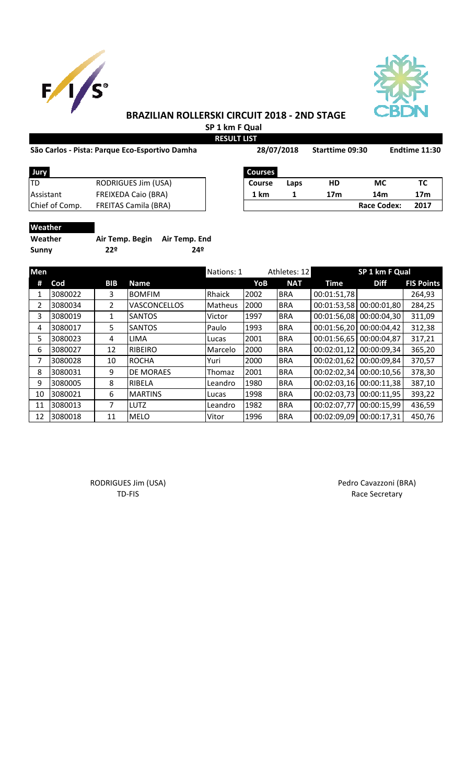



**SP 1 km F Qual RES** 

### **São Carlos - Pista: Parque Eco-Esportivo Damha Starttime 09:30 Endtime 11:30**

| ULT LIST |            |
|----------|------------|
|          | 28/07/2018 |

| 80 | Endtime 11:3 |  |
|----|--------------|--|
|    |              |  |

| Jury             |                             | <b>Courses</b> |
|------------------|-----------------------------|----------------|
| ITD              | RODRIGUES Jim (USA)         | Course         |
| <b>Assistant</b> | <b>FREIXEDA Caio (BRA)</b>  | 1 km           |
| Chief of Comp.   | <b>FREITAS Camila (BRA)</b> |                |

| Jury           |                             | <b>Courses</b> |      |     |                    |      |
|----------------|-----------------------------|----------------|------|-----|--------------------|------|
| TD             | RODRIGUES Jim (USA)         | Course         | Laps | HD  | МC                 |      |
| Assistant      | <b>FREIXEDA Caio (BRA)</b>  | 1 km           |      | 17m | 14m                | 17m  |
| Chief of Comp. | <b>FREITAS Camila (BRA)</b> |                |      |     | <b>Race Codex:</b> | 2017 |

# **Weather**

| Weather      | Air Temp. Begin Air Temp. End |     |
|--------------|-------------------------------|-----|
| <b>Sunny</b> | 229                           | 24º |

| Men |         |            |                     | Nations: 1 |      | Athletes: 12 |             | SP 1 km F Qual |                   |
|-----|---------|------------|---------------------|------------|------|--------------|-------------|----------------|-------------------|
| #   | Cod     | <b>BIB</b> | <b>Name</b>         |            | YoB  | <b>NAT</b>   | <b>Time</b> | <b>Diff</b>    | <b>FIS Points</b> |
| 1   | 3080022 | 3          | <b>BOMFIM</b>       | Rhaick     | 2002 | <b>BRA</b>   | 00:01:51,78 |                | 264,93            |
| 2   | 3080034 | 2          | <b>VASCONCELLOS</b> | Matheus    | 2000 | <b>BRA</b>   | 00:01:53,58 | 00:00:01,80    | 284,25            |
| 3   | 3080019 | 1          | <b>SANTOS</b>       | Victor     | 1997 | <b>BRA</b>   | 00:01:56,08 | 00:00:04,30    | 311,09            |
| 4   | 3080017 | 5          | <b>SANTOS</b>       | Paulo      | 1993 | <b>BRA</b>   | 00:01:56,20 | 00:00:04,42    | 312,38            |
| 5.  | 3080023 | 4          | <b>LIMA</b>         | Lucas      | 2001 | <b>BRA</b>   | 00:01:56,65 | 00:00:04,87    | 317,21            |
| 6   | 3080027 | 12         | <b>RIBEIRO</b>      | Marcelo    | 2000 | <b>BRA</b>   | 00:02:01,12 | 00:00:09,34    | 365,20            |
| 7   | 3080028 | 10         | <b>ROCHA</b>        | Yuri       | 2000 | <b>BRA</b>   | 00:02:01,62 | 00:00:09,84    | 370,57            |
| 8   | 3080031 | 9          | <b>DE MORAES</b>    | Thomaz     | 2001 | <b>BRA</b>   | 00:02:02,34 | 00:00:10,56    | 378,30            |
| 9   | 3080005 | 8          | <b>RIBELA</b>       | Leandro    | 1980 | <b>BRA</b>   | 00:02:03,16 | 00:00:11,38    | 387,10            |
| 10  | 3080021 | 6          | <b>MARTINS</b>      | Lucas      | 1998 | <b>BRA</b>   | 00:02:03,73 | 00:00:11,95    | 393,22            |
| 11  | 3080013 | 7          | <b>LUTZ</b>         | Leandro    | 1982 | <b>BRA</b>   | 00:02:07,77 | 00:00:15,99    | 436,59            |
| 12  | 3080018 | 11         | <b>MELO</b>         | Vitor      | 1996 | <b>BRA</b>   | 00:02:09,09 | 00:00:17,31    | 450,76            |

RODRIGUES Jim (USA) **Pedro Cavazzoni (BRA)** TD-FIS Race Secretary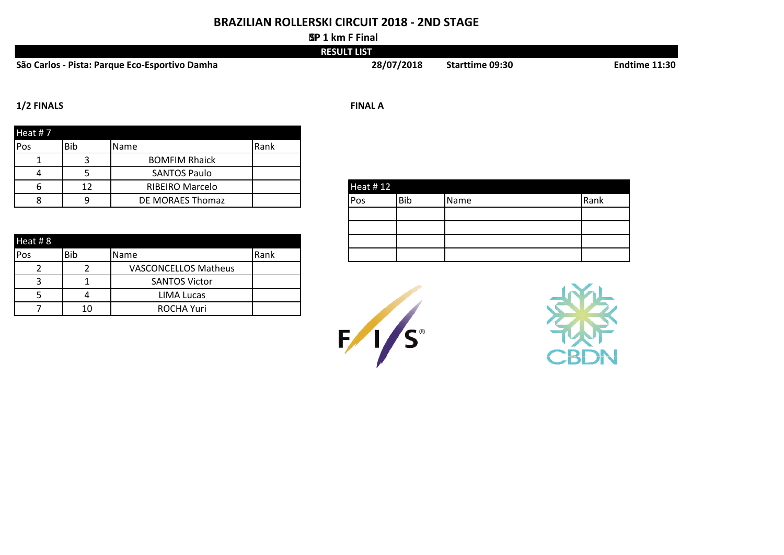#### **SP 1 km F Final**

#### São Carlos - Pista: Parque Eco-Esportivo Damha **Santia Endiamente 11:30** 28/07/2018 Starttime 09:30 Endtime 11:30 **RESULT LIST 28/07/2018**

#### **1/2 FINALS FINAL A**

| Heat #7 |            |                        |      |
|---------|------------|------------------------|------|
| Pos     | <b>Bib</b> | <b>Name</b>            | Rank |
|         |            | <b>BOMFIM Rhaick</b>   |      |
| д.      |            | <b>SANTOS Paulo</b>    |      |
|         | 12         | <b>RIBEIRO Marcelo</b> |      |
|         |            | DE MORAES Thomaz       |      |

| Heat #8 |            |                             |              |
|---------|------------|-----------------------------|--------------|
| Pos     | <b>Bib</b> | Name                        | <b>IRank</b> |
|         |            | <b>VASCONCELLOS Matheus</b> |              |
|         |            | <b>SANTOS Victor</b>        |              |
|         | 4          | LIMA Lucas                  |              |
|         | 10         | <b>ROCHA Yuri</b>           |              |

| <b>Heat #12</b> |            |      |      |
|-----------------|------------|------|------|
| Pos             | <b>Bib</b> | Name | Rank |
|                 |            |      |      |
|                 |            |      |      |
|                 |            |      |      |
|                 |            |      |      |



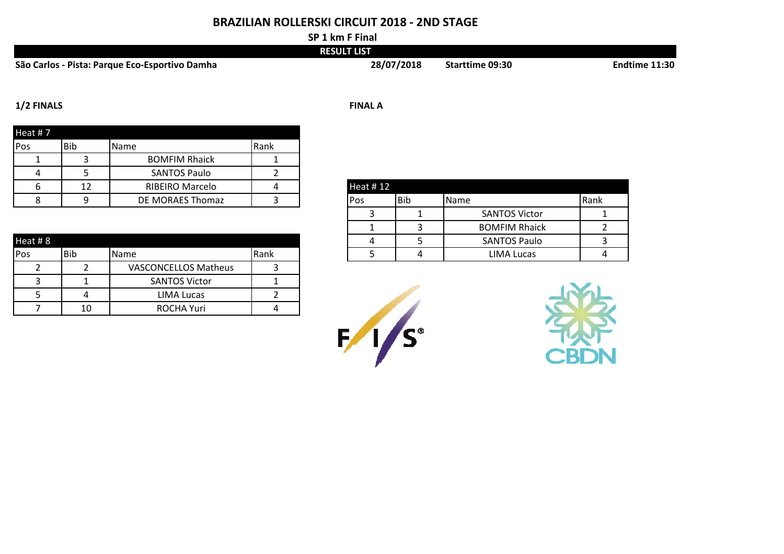**SP 1 km F Final RESULT LIST**

| São Carlos - Pista: Parque Eco-Esportivo Damha | 28/07/2018 | <b>Starttime 09:30</b> | Endtime 11:30 |
|------------------------------------------------|------------|------------------------|---------------|
|                                                |            |                        |               |

#### **1/2 FINALS FINAL A**

| Heat #7 |            |                        |      |
|---------|------------|------------------------|------|
| Pos     | <b>Bib</b> | <b>Name</b>            | Rank |
|         |            | <b>BOMFIM Rhaick</b>   |      |
|         |            | <b>SANTOS Paulo</b>    |      |
|         | 12         | <b>RIBEIRO Marcelo</b> |      |
|         |            | DE MORAES Thomaz       |      |

| Heat #8 |            |                             |              |  | <b>SANTOS Paulo</b> |  |
|---------|------------|-----------------------------|--------------|--|---------------------|--|
| Pos     | <b>Bib</b> | Name                        | <b>IRank</b> |  | LIMA Lucas          |  |
|         |            | <b>VASCONCELLOS Matheus</b> |              |  |                     |  |
|         |            | <b>SANTOS Victor</b>        |              |  |                     |  |
|         |            | LIMA Lucas                  |              |  |                     |  |
|         | 10         | <b>ROCHA Yuri</b>           |              |  |                     |  |

| Heat #12 |     |                      |      |  |  |  |
|----------|-----|----------------------|------|--|--|--|
| Pos      | Bib | Name                 | Rank |  |  |  |
|          |     | <b>SANTOS Victor</b> |      |  |  |  |
|          |     | <b>BOMFIM Rhaick</b> |      |  |  |  |
|          |     | <b>SANTOS Paulo</b>  |      |  |  |  |
|          |     | <b>LIMA Lucas</b>    |      |  |  |  |